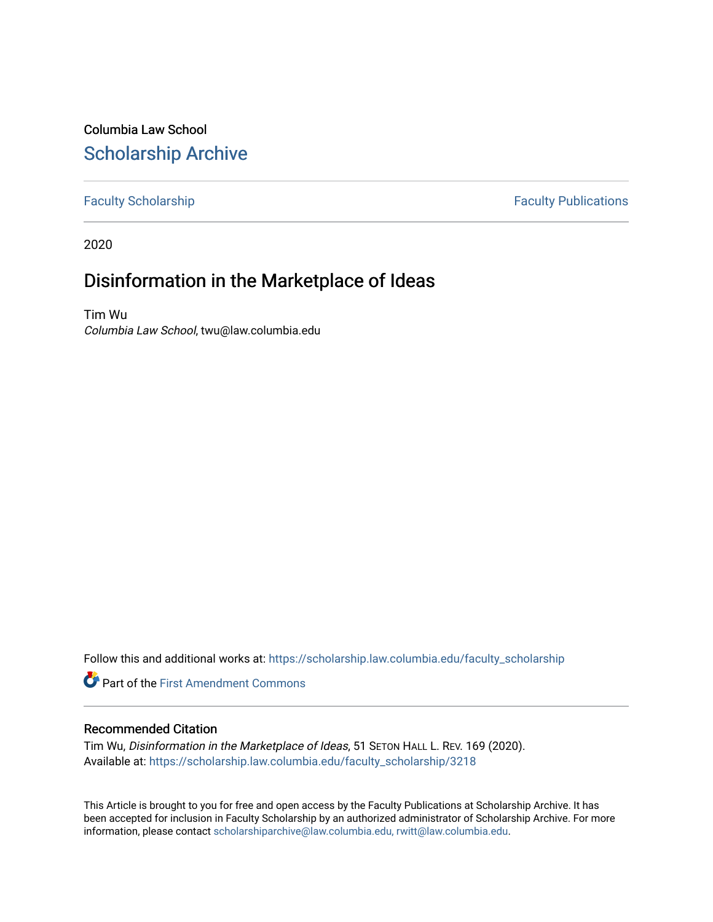Columbia Law School [Scholarship Archive](https://scholarship.law.columbia.edu/) 

[Faculty Scholarship](https://scholarship.law.columbia.edu/faculty_scholarship) **Faculty Publications** 

2020

# Disinformation in the Marketplace of Ideas

Tim Wu Columbia Law School, twu@law.columbia.edu

Follow this and additional works at: [https://scholarship.law.columbia.edu/faculty\\_scholarship](https://scholarship.law.columbia.edu/faculty_scholarship?utm_source=scholarship.law.columbia.edu%2Ffaculty_scholarship%2F3218&utm_medium=PDF&utm_campaign=PDFCoverPages)

**Part of the First Amendment Commons** 

### Recommended Citation

Tim Wu, Disinformation in the Marketplace of Ideas, 51 SETON HALL L. REV. 169 (2020). Available at: [https://scholarship.law.columbia.edu/faculty\\_scholarship/3218](https://scholarship.law.columbia.edu/faculty_scholarship/3218?utm_source=scholarship.law.columbia.edu%2Ffaculty_scholarship%2F3218&utm_medium=PDF&utm_campaign=PDFCoverPages)

This Article is brought to you for free and open access by the Faculty Publications at Scholarship Archive. It has been accepted for inclusion in Faculty Scholarship by an authorized administrator of Scholarship Archive. For more information, please contact [scholarshiparchive@law.columbia.edu, rwitt@law.columbia.edu](mailto:scholarshiparchive@law.columbia.edu,%20rwitt@law.columbia.edu).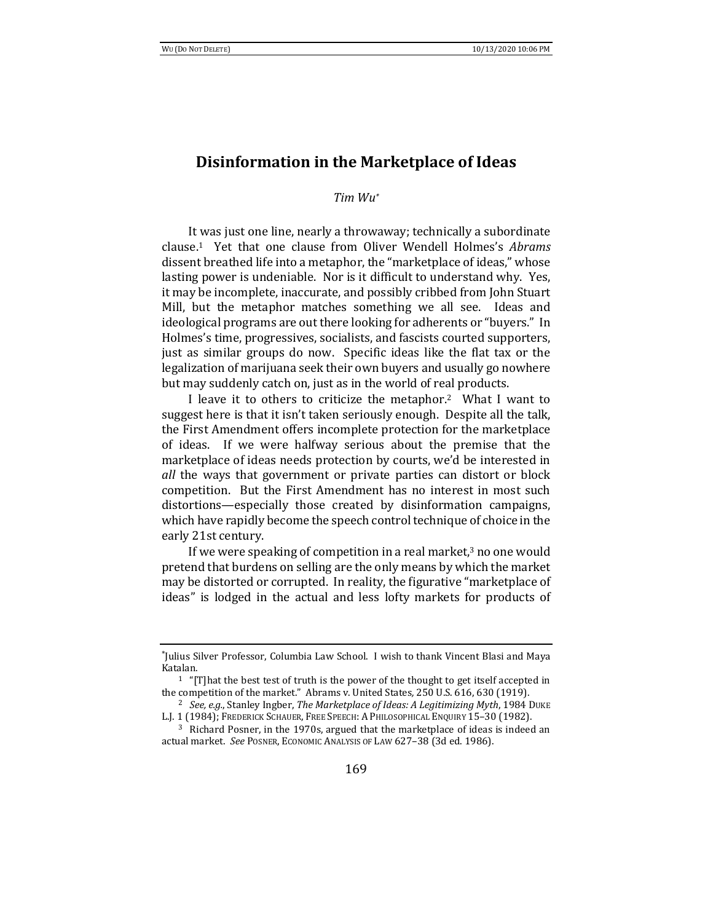## **Disinformation in the Marketplace of Ideas**

*Tim Wu\**

It was just one line, nearly a throwaway; technically a subordinate clause.<sup>1</sup> Yet that one clause from Oliver Wendell Holmes's *Abrams*  dissent breathed life into a metaphor, the "marketplace of ideas," whose lasting power is undeniable. Nor is it difficult to understand why. Yes, it may be incomplete, inaccurate, and possibly cribbed from John Stuart Mill, but the metaphor matches something we all see. Ideas and ideological programs are out there looking for adherents or "buyers." In Holmes's time, progressives, socialists, and fascists courted supporters, just as similar groups do now. Specific ideas like the flat tax or the legalization of marijuana seek their own buyers and usually go nowhere but may suddenly catch on, just as in the world of real products.

I leave it to others to criticize the metaphor.2 What I want to suggest here is that it isn't taken seriously enough. Despite all the talk, the First Amendment offers incomplete protection for the marketplace of ideas. If we were halfway serious about the premise that the marketplace of ideas needs protection by courts, we'd be interested in *all* the ways that government or private parties can distort or block competition. But the First Amendment has no interest in most such distortions—especially those created by disinformation campaigns, which have rapidly become the speech control technique of choice in the early 21st century.

If we were speaking of competition in a real market, $3$  no one would pretend that burdens on selling are the only means by which the market may be distorted or corrupted. In reality, the figurative "marketplace of ideas" is lodged in the actual and less lofty markets for products of

<sup>\*</sup> Julius Silver Professor, Columbia Law School. I wish to thank Vincent Blasi and Maya Katalan.

 $1$  "[T] hat the best test of truth is the power of the thought to get itself accepted in the competition of the market." Abrams v. United States*,* 250 U.S. 616, 630 (1919).

<sup>2</sup> *See, e.g.*, Stanley Ingber, *The Marketplace of Ideas: A Legitimizing Myth*, 1984 DUKE L.J. 1 (1984); FREDERICK SCHAUER, FREE SPEECH: A PHILOSOPHICAL ENQUIRY 15–30 (1982).

<sup>&</sup>lt;sup>3</sup> Richard Posner, in the 1970s, argued that the marketplace of ideas is indeed an actual market. *See* POSNER, ECONOMIC ANALYSIS OF LAW 627–38 (3d ed. 1986).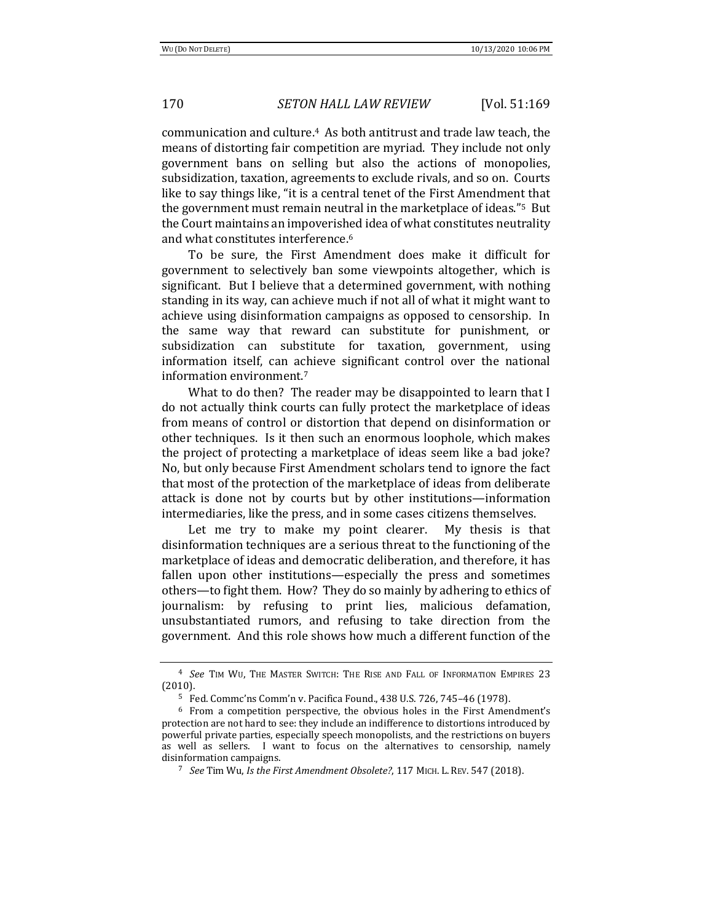### 170 **SETON HALL LAW REVIEW** [Vol. 51:169]

communication and culture.4 As both antitrust and trade law teach, the means of distorting fair competition are myriad. They include not only government bans on selling but also the actions of monopolies, subsidization, taxation, agreements to exclude rivals, and so on. Courts like to say things like, "it is a central tenet of the First Amendment that the government must remain neutral in the marketplace of ideas."5 But the Court maintains an impoverished idea of what constitutes neutrality and what constitutes interference.<sup>6</sup>

To be sure, the First Amendment does make it difficult for government to selectively ban some viewpoints altogether, which is significant. But I believe that a determined government, with nothing standing in its way, can achieve much if not all of what it might want to achieve using disinformation campaigns as opposed to censorship. In the same way that reward can substitute for punishment, or subsidization can substitute for taxation, government, using information itself, can achieve significant control over the national information environment.<sup>7</sup>

What to do then? The reader may be disappointed to learn that I do not actually think courts can fully protect the marketplace of ideas from means of control or distortion that depend on disinformation or other techniques. Is it then such an enormous loophole, which makes the project of protecting a marketplace of ideas seem like a bad joke? No, but only because First Amendment scholars tend to ignore the fact that most of the protection of the marketplace of ideas from deliberate attack is done not by courts but by other institutions—information intermediaries, like the press, and in some cases citizens themselves.

Let me try to make my point clearer. My thesis is that disinformation techniques are a serious threat to the functioning of the marketplace of ideas and democratic deliberation, and therefore, it has fallen upon other institutions—especially the press and sometimes others—to fight them. How? They do so mainly by adhering to ethics of journalism: by refusing to print lies, malicious defamation, unsubstantiated rumors, and refusing to take direction from the government. And this role shows how much a different function of the

<sup>4</sup> *See* TIM WU, THE MASTER SWITCH: THE RISE AND FALL OF INFORMATION EMPIRES 23 (2010).

<sup>5</sup> Fed. Commc'ns Comm'n v. Pacifica Found., 438 U.S. 726, 745–46 (1978).

<sup>6</sup> From a competition perspective, the obvious holes in the First Amendment's protection are not hard to see: they include an indifference to distortions introduced by powerful private parties, especially speech monopolists, and the restrictions on buyers as well as sellers. I want to focus on the alternatives to censorship, namely disinformation campaigns.

<sup>7</sup> *See* Tim Wu, *Is the First Amendment Obsolete?*, 117 MICH. L. REV. 547 (2018).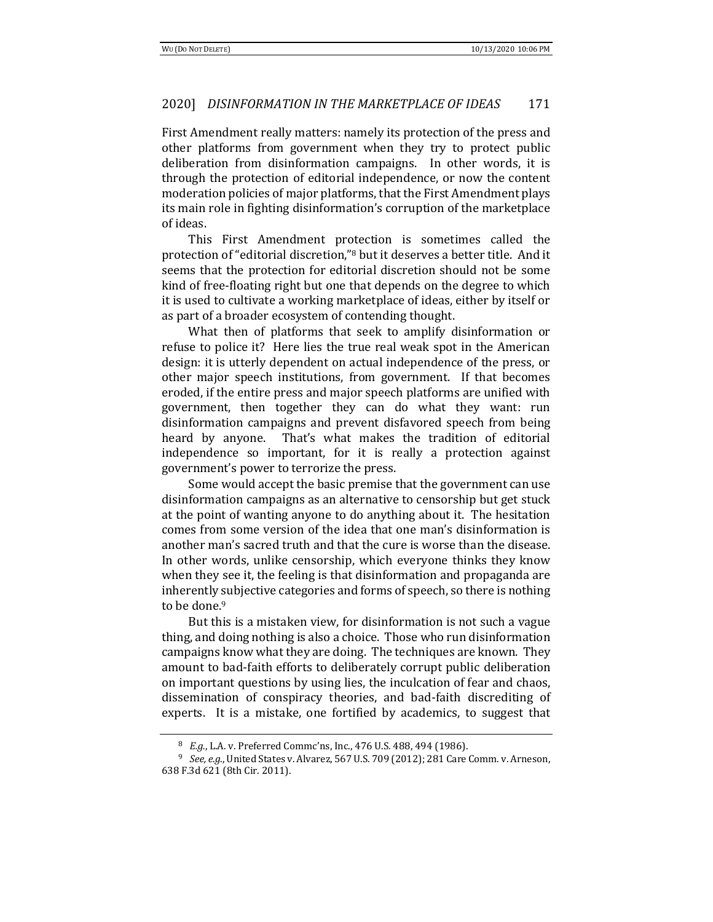#### 2020] *DISINFORMATION IN THE MARKETPLACE OF IDEAS* 171

First Amendment really matters: namely its protection of the press and other platforms from government when they try to protect public deliberation from disinformation campaigns. In other words, it is through the protection of editorial independence, or now the content moderation policies of major platforms, that the First Amendment plays its main role in fighting disinformation's corruption of the marketplace of ideas.

This First Amendment protection is sometimes called the protection of "editorial discretion,"<sup>8</sup> but it deserves a better title. And it seems that the protection for editorial discretion should not be some kind of free-floating right but one that depends on the degree to which it is used to cultivate a working marketplace of ideas, either by itself or as part of a broader ecosystem of contending thought.

What then of platforms that seek to amplify disinformation or refuse to police it? Here lies the true real weak spot in the American design: it is utterly dependent on actual independence of the press, or other major speech institutions, from government. If that becomes eroded, if the entire press and major speech platforms are unified with government, then together they can do what they want: run disinformation campaigns and prevent disfavored speech from being heard by anyone. That's what makes the tradition of editorial independence so important, for it is really a protection against government's power to terrorize the press.

Some would accept the basic premise that the government can use disinformation campaigns as an alternative to censorship but get stuck at the point of wanting anyone to do anything about it. The hesitation comes from some version of the idea that one man's disinformation is another man's sacred truth and that the cure is worse than the disease. In other words, unlike censorship, which everyone thinks they know when they see it, the feeling is that disinformation and propaganda are inherently subjective categories and forms of speech, so there is nothing to be done.<sup>9</sup>

But this is a mistaken view, for disinformation is not such a vague thing, and doing nothing is also a choice. Those who run disinformation campaigns know what they are doing. The techniques are known. They amount to bad-faith efforts to deliberately corrupt public deliberation on important questions by using lies, the inculcation of fear and chaos, dissemination of conspiracy theories, and bad-faith discrediting of experts. It is a mistake, one fortified by academics, to suggest that

<sup>8</sup> *E.g.*, L.A. v. Preferred Commc'ns, Inc., 476 U.S. 488, 494 (1986).

<sup>9</sup> *See, e.g.*, United States v. Alvarez, 567 U.S. 709 (2012); 281 Care Comm. v. Arneson, 638 F.3d 621 (8th Cir. 2011).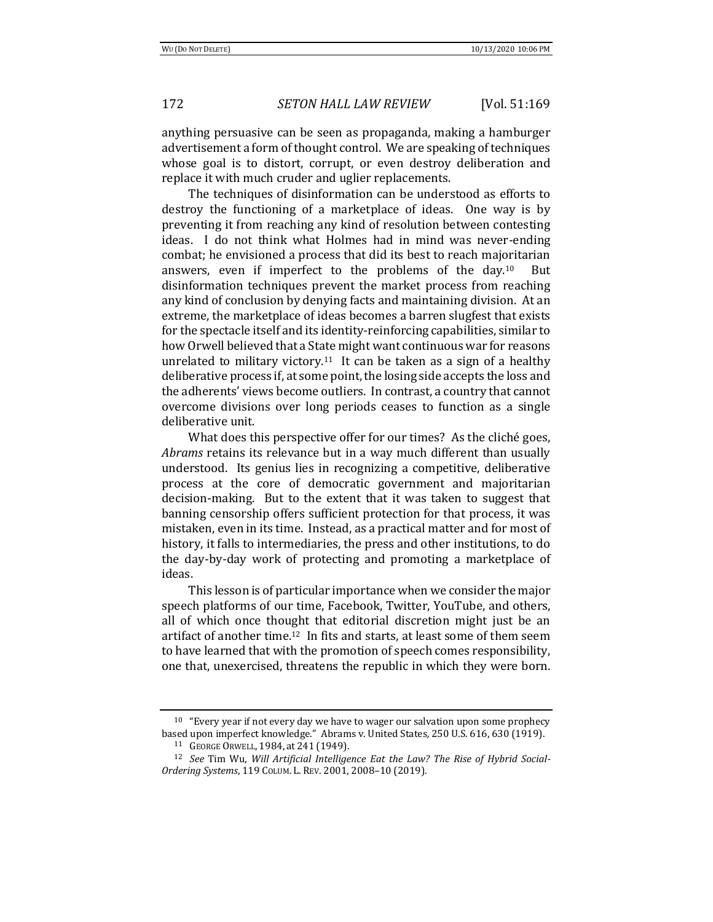#### 172 *SETON HALL LAW REVIEW* [Vol. 51:169

anything persuasive can be seen as propaganda, making a hamburger advertisement a form of thought control. We are speaking of techniques whose goal is to distort, corrupt, or even destroy deliberation and replace it with much cruder and uglier replacements.

The techniques of disinformation can be understood as efforts to destroy the functioning of a marketplace of ideas. One way is by preventing it from reaching any kind of resolution between contesting ideas. I do not think what Holmes had in mind was never-ending combat; he envisioned a process that did its best to reach majoritarian answers, even if imperfect to the problems of the day.10 But disinformation techniques prevent the market process from reaching any kind of conclusion by denying facts and maintaining division. At an extreme, the marketplace of ideas becomes a barren slugfest that exists for the spectacle itself and its identity-reinforcing capabilities, similar to how Orwell believed that a State might want continuous war for reasons unrelated to military victory.<sup>11</sup> It can be taken as a sign of a healthy deliberative process if, at some point, the losing side accepts the loss and the adherents' views become outliers. In contrast, a country that cannot overcome divisions over long periods ceases to function as a single deliberative unit.

What does this perspective offer for our times? As the cliché goes, *Abrams* retains its relevance but in a way much different than usually understood. Its genius lies in recognizing a competitive, deliberative process at the core of democratic government and majoritarian decision-making. But to the extent that it was taken to suggest that banning censorship offers sufficient protection for that process, it was mistaken, even in its time. Instead, as a practical matter and for most of history, it falls to intermediaries, the press and other institutions, to do the day-by-day work of protecting and promoting a marketplace of ideas.

This lesson is of particular importance when we consider the major speech platforms of our time, Facebook, Twitter, YouTube, and others, all of which once thought that editorial discretion might just be an artifact of another time.12 In fits and starts, at least some of them seem to have learned that with the promotion of speech comes responsibility, one that, unexercised, threatens the republic in which they were born.

<sup>&</sup>lt;sup>10</sup> "Every year if not every day we have to wager our salvation upon some prophecy based upon imperfect knowledge." Abrams v. United States*,* 250 U.S. 616, 630 (1919).

<sup>11</sup> GEORGE ORWELL, 1984, at 241 (1949).

<sup>12</sup> *See* Tim Wu, *Will Artificial Intelligence Eat the Law? The Rise of Hybrid Social-Ordering Systems*, 119 COLUM. L. REV. 2001, 2008–10 (2019).